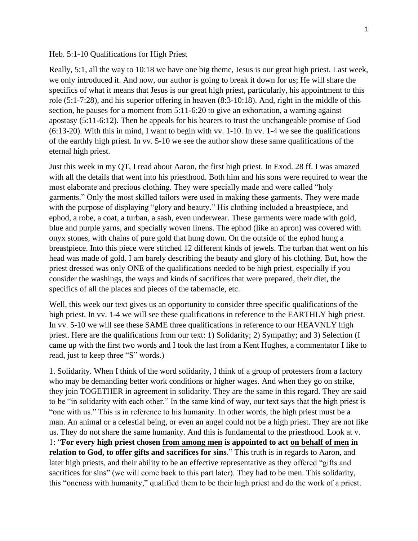## Heb. 5:1-10 Qualifications for High Priest

Really, 5:1, all the way to 10:18 we have one big theme, Jesus is our great high priest. Last week, we only introduced it. And now, our author is going to break it down for us; He will share the specifics of what it means that Jesus is our great high priest, particularly, his appointment to this role (5:1-7:28), and his superior offering in heaven (8:3-10:18). And, right in the middle of this section, he pauses for a moment from 5:11-6:20 to give an exhortation, a warning against apostasy (5:11-6:12). Then he appeals for his hearers to trust the unchangeable promise of God (6:13-20). With this in mind, I want to begin with vv. 1-10. In vv. 1-4 we see the qualifications of the earthly high priest. In vv. 5-10 we see the author show these same qualifications of the eternal high priest.

Just this week in my QT, I read about Aaron, the first high priest. In Exod. 28 ff. I was amazed with all the details that went into his priesthood. Both him and his sons were required to wear the most elaborate and precious clothing. They were specially made and were called "holy garments." Only the most skilled tailors were used in making these garments. They were made with the purpose of displaying "glory and beauty." His clothing included a breastpiece, and ephod, a robe, a coat, a turban, a sash, even underwear. These garments were made with gold, blue and purple yarns, and specially woven linens. The ephod (like an apron) was covered with onyx stones, with chains of pure gold that hung down. On the outside of the ephod hung a breastpiece. Into this piece were stitched 12 different kinds of jewels. The turban that went on his head was made of gold. I am barely describing the beauty and glory of his clothing. But, how the priest dressed was only ONE of the qualifications needed to be high priest, especially if you consider the washings, the ways and kinds of sacrifices that were prepared, their diet, the specifics of all the places and pieces of the tabernacle, etc.

Well, this week our text gives us an opportunity to consider three specific qualifications of the high priest. In vv. 1-4 we will see these qualifications in reference to the EARTHLY high priest. In vv. 5-10 we will see these SAME three qualifications in reference to our HEAVNLY high priest. Here are the qualifications from our text: 1) Solidarity; 2) Sympathy; and 3) Selection (I came up with the first two words and I took the last from a Kent Hughes, a commentator I like to read, just to keep three "S" words.)

1. Solidarity. When I think of the word solidarity, I think of a group of protesters from a factory who may be demanding better work conditions or higher wages. And when they go on strike, they join TOGETHER in agreement in solidarity. They are the same in this regard. They are said to be "in solidarity with each other." In the same kind of way, our text says that the high priest is "one with us." This is in reference to his humanity. In other words, the high priest must be a man. An animal or a celestial being, or even an angel could not be a high priest. They are not like us. They do not share the same humanity. And this is fundamental to the priesthood. Look at v. 1: "**For every high priest chosen from among men is appointed to act on behalf of men in relation to God, to offer gifts and sacrifices for sins**." This truth is in regards to Aaron, and later high priests, and their ability to be an effective representative as they offered "gifts and sacrifices for sins" (we will come back to this part later). They had to be men. This solidarity, this "oneness with humanity," qualified them to be their high priest and do the work of a priest.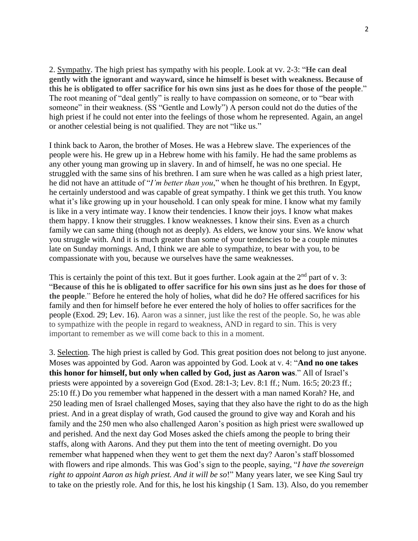2. Sympathy. The high priest has sympathy with his people. Look at vv. 2-3: "**He can deal gently with the ignorant and wayward, since he himself is beset with weakness. Because of this he is obligated to offer sacrifice for his own sins just as he does for those of the people**." The root meaning of "deal gently" is really to have compassion on someone, or to "bear with someone" in their weakness. (SS "Gentle and Lowly") A person could not do the duties of the high priest if he could not enter into the feelings of those whom he represented. Again, an angel or another celestial being is not qualified. They are not "like us."

I think back to Aaron, the brother of Moses. He was a Hebrew slave. The experiences of the people were his. He grew up in a Hebrew home with his family. He had the same problems as any other young man growing up in slavery. In and of himself, he was no one special. He struggled with the same sins of his brethren. I am sure when he was called as a high priest later, he did not have an attitude of "*I'm better than you*," when he thought of his brethren. In Egypt, he certainly understood and was capable of great sympathy. I think we get this truth. You know what it's like growing up in your household. I can only speak for mine. I know what my family is like in a very intimate way. I know their tendencies. I know their joys. I know what makes them happy. I know their struggles. I know weaknesses. I know their sins. Even as a church family we can same thing (though not as deeply). As elders, we know your sins. We know what you struggle with. And it is much greater than some of your tendencies to be a couple minutes late on Sunday mornings. And, I think we are able to sympathize, to bear with you, to be compassionate with you, because we ourselves have the same weaknesses.

This is certainly the point of this text. But it goes further. Look again at the  $2<sup>nd</sup>$  part of v. 3: "**Because of this he is obligated to offer sacrifice for his own sins just as he does for those of the people**." Before he entered the holy of holies, what did he do? He offered sacrifices for his family and then for himself before he ever entered the holy of holies to offer sacrifices for the people (Exod. 29; Lev. 16). Aaron was a sinner, just like the rest of the people. So, he was able to sympathize with the people in regard to weakness, AND in regard to sin. This is very important to remember as we will come back to this in a moment.

3. Selection. The high priest is called by God. This great position does not belong to just anyone. Moses was appointed by God. Aaron was appointed by God. Look at v. 4: "**And no one takes this honor for himself, but only when called by God, just as Aaron was**." All of Israel's priests were appointed by a sovereign God (Exod. 28:1-3; Lev. 8:1 ff.; Num. 16:5; 20:23 ff.; 25:10 ff.) Do you remember what happened in the dessert with a man named Korah? He, and 250 leading men of Israel challenged Moses, saying that they also have the right to do as the high priest. And in a great display of wrath, God caused the ground to give way and Korah and his family and the 250 men who also challenged Aaron's position as high priest were swallowed up and perished. And the next day God Moses asked the chiefs among the people to bring their staffs, along with Aarons. And they put them into the tent of meeting overnight. Do you remember what happened when they went to get them the next day? Aaron's staff blossomed with flowers and ripe almonds. This was God's sign to the people, saying, "*I have the sovereign right to appoint Aaron as high priest. And it will be so*!" Many years later, we see King Saul try to take on the priestly role. And for this, he lost his kingship (1 Sam. 13). Also, do you remember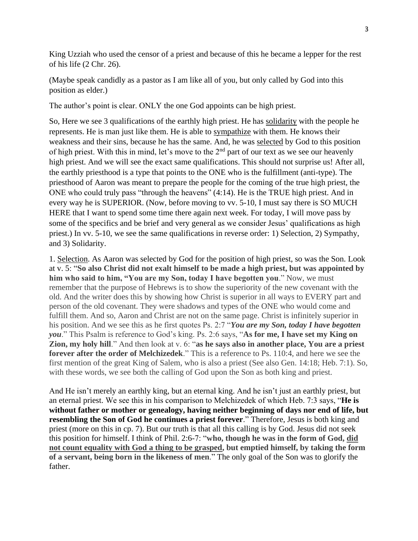King Uzziah who used the censor of a priest and because of this he became a lepper for the rest of his life (2 Chr. 26).

(Maybe speak candidly as a pastor as I am like all of you, but only called by God into this position as elder.)

The author's point is clear. ONLY the one God appoints can be high priest.

So, Here we see 3 qualifications of the earthly high priest. He has solidarity with the people he represents. He is man just like them. He is able to sympathize with them. He knows their weakness and their sins, because he has the same. And, he was selected by God to this position of high priest. With this in mind, let's move to the  $2<sup>nd</sup>$  part of our text as we see our heavenly high priest. And we will see the exact same qualifications. This should not surprise us! After all, the earthly priesthood is a type that points to the ONE who is the fulfillment (anti-type). The priesthood of Aaron was meant to prepare the people for the coming of the true high priest, the ONE who could truly pass "through the heavens" (4:14). He is the TRUE high priest. And in every way he is SUPERIOR. (Now, before moving to vv. 5-10, I must say there is SO MUCH HERE that I want to spend some time there again next week. For today, I will move pass by some of the specifics and be brief and very general as we consider Jesus' qualifications as high priest.) In vv. 5-10, we see the same qualifications in reverse order: 1) Selection, 2) Sympathy, and 3) Solidarity.

1. Selection. As Aaron was selected by God for the position of high priest, so was the Son. Look at v. 5: "**So also Christ did not exalt himself to be made a high priest, but was appointed by him who said to him, "You are my Son, today I have begotten you**." Now, we must remember that the purpose of Hebrews is to show the superiority of the new covenant with the old. And the writer does this by showing how Christ is superior in all ways to EVERY part and person of the old covenant. They were shadows and types of the ONE who would come and fulfill them. And so, Aaron and Christ are not on the same page. Christ is infinitely superior in his position. And we see this as he first quotes Ps. 2:7 "*You are my Son, today I have begotten you*." This Psalm is reference to God's king. Ps. 2:6 says, "**As for me, I have set my King on Zion, my holy hill**." And then look at v. 6: "**as he says also in another place, You are a priest forever after the order of Melchizedek**." This is a reference to Ps. 110:4, and here we see the first mention of the great King of Salem, who is also a priest (See also Gen. 14:18; Heb. 7:1). So, with these words, we see both the calling of God upon the Son as both king and priest.

And He isn't merely an earthly king, but an eternal king. And he isn't just an earthly priest, but an eternal priest. We see this in his comparison to Melchizedek of which Heb. 7:3 says, "**He is without father or mother or genealogy, having neither beginning of days nor end of life, but resembling the Son of God he continues a priest forever**." Therefore, Jesus is both king and priest (more on this in cp. 7). But our truth is that all this calling is by God. Jesus did not seek this position for himself. I think of Phil. 2:6-7: "**who, though he was in the form of God, did not count equality with God a thing to be grasped, but emptied himself, by taking the form of a servant, being born in the likeness of men**." The only goal of the Son was to glorify the father.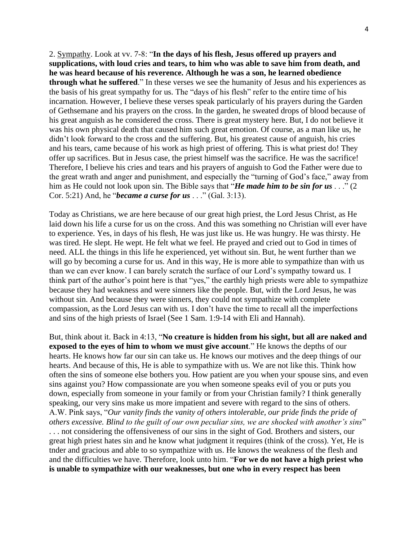2. Sympathy. Look at vv. 7-8: "**In the days of his flesh, Jesus offered up prayers and supplications, with loud cries and tears, to him who was able to save him from death, and he was heard because of his reverence. Although he was a son, he learned obedience through what he suffered**." In these verses we see the humanity of Jesus and his experiences as the basis of his great sympathy for us. The "days of his flesh" refer to the entire time of his incarnation. However, I believe these verses speak particularly of his prayers during the Garden of Gethsemane and his prayers on the cross. In the garden, he sweated drops of blood because of his great anguish as he considered the cross. There is great mystery here. But, I do not believe it was his own physical death that caused him such great emotion. Of course, as a man like us, he didn't look forward to the cross and the suffering. But, his greatest cause of anguish, his cries and his tears, came because of his work as high priest of offering. This is what priest do! They offer up sacrifices. But in Jesus case, the priest himself was the sacrifice. He was the sacrifice! Therefore, I believe his cries and tears and his prayers of anguish to God the Father were due to the great wrath and anger and punishment, and especially the "turning of God's face," away from him as He could not look upon sin. The Bible says that "*He made him to be sin for us* . . ." (2 Cor. 5:21) And, he "*became a curse for us* . . ." (Gal. 3:13).

Today as Christians, we are here because of our great high priest, the Lord Jesus Christ, as He laid down his life a curse for us on the cross. And this was something no Christian will ever have to experience. Yes, in days of his flesh, He was just like us. He was hungry. He was thirsty. He was tired. He slept. He wept. He felt what we feel. He prayed and cried out to God in times of need. ALL the things in this life he experienced, yet without sin. But, he went further than we will go by becoming a curse for us. And in this way, He is more able to sympathize than with us than we can ever know. I can barely scratch the surface of our Lord's sympathy toward us. I think part of the author's point here is that "yes," the earthly high priests were able to sympathize because they had weakness and were sinners like the people. But, with the Lord Jesus, he was without sin. And because they were sinners, they could not sympathize with complete compassion, as the Lord Jesus can with us. I don't have the time to recall all the imperfections and sins of the high priests of Israel (See 1 Sam. 1:9-14 with Eli and Hannah).

But, think about it. Back in 4:13, "**No creature is hidden from his sight, but all are naked and exposed to the eyes of him to whom we must give account**." He knows the depths of our hearts. He knows how far our sin can take us. He knows our motives and the deep things of our hearts. And because of this, He is able to sympathize with us. We are not like this. Think how often the sins of someone else bothers you. How patient are you when your spouse sins, and even sins against you? How compassionate are you when someone speaks evil of you or puts you down, especially from someone in your family or from your Christian family? I think generally speaking, our very sins make us more impatient and severe with regard to the sins of others. A.W. Pink says, "*Our vanity finds the vanity of others intolerable, our pride finds the pride of others excessive. Blind to the guilt of our own peculiar sins, we are shocked with another's sins*" . . . not considering the offensiveness of our sins in the sight of God. Brothers and sisters, our great high priest hates sin and he know what judgment it requires (think of the cross). Yet, He is tnder and gracious and able to so sympathize with us. He knows the weakness of the flesh and and the difficulties we have. Therefore, look unto him. "**For we do not have a high priest who is unable to sympathize with our weaknesses, but one who in every respect has been**